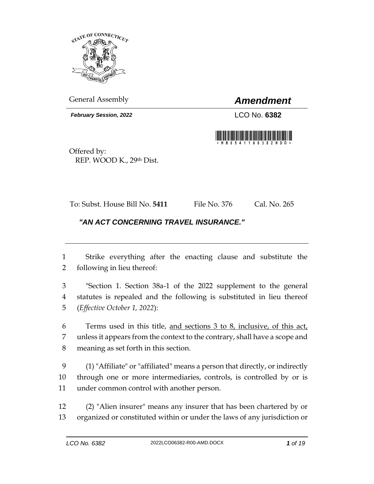

General Assembly *Amendment*

*February Session, 2022* LCO No. **6382**



Offered by: REP. WOOD K., 29th Dist.

To: Subst. House Bill No. **5411** File No. 376 Cal. No. 265

## *"AN ACT CONCERNING TRAVEL INSURANCE."*

 Strike everything after the enacting clause and substitute the following in lieu thereof:

 "Section 1. Section 38a-1 of the 2022 supplement to the general statutes is repealed and the following is substituted in lieu thereof (*Effective October 1, 2022*):

 Terms used in this title, and sections 3 to 8, inclusive, of this act, unless it appears from the context to the contrary, shall have a scope and meaning as set forth in this section.

 (1) "Affiliate" or "affiliated" means a person that directly, or indirectly through one or more intermediaries, controls, is controlled by or is under common control with another person.

 (2) "Alien insurer" means any insurer that has been chartered by or organized or constituted within or under the laws of any jurisdiction or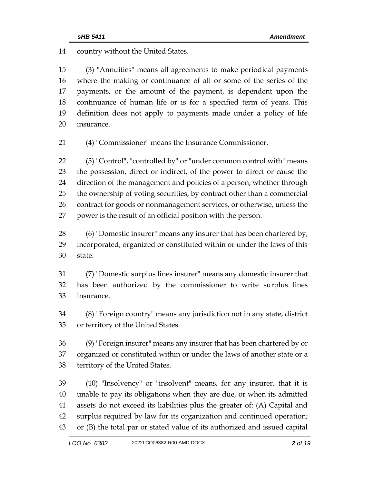country without the United States.

 (3) "Annuities" means all agreements to make periodical payments where the making or continuance of all or some of the series of the payments, or the amount of the payment, is dependent upon the continuance of human life or is for a specified term of years. This definition does not apply to payments made under a policy of life insurance.

(4) "Commissioner" means the Insurance Commissioner.

 (5) "Control", "controlled by" or "under common control with" means the possession, direct or indirect, of the power to direct or cause the direction of the management and policies of a person, whether through the ownership of voting securities, by contract other than a commercial contract for goods or nonmanagement services, or otherwise, unless the power is the result of an official position with the person.

 (6) "Domestic insurer" means any insurer that has been chartered by, incorporated, organized or constituted within or under the laws of this state.

 (7) "Domestic surplus lines insurer" means any domestic insurer that has been authorized by the commissioner to write surplus lines insurance.

 (8) "Foreign country" means any jurisdiction not in any state, district or territory of the United States.

 (9) "Foreign insurer" means any insurer that has been chartered by or organized or constituted within or under the laws of another state or a territory of the United States.

 (10) "Insolvency" or "insolvent" means, for any insurer, that it is unable to pay its obligations when they are due, or when its admitted assets do not exceed its liabilities plus the greater of: (A) Capital and surplus required by law for its organization and continued operation; or (B) the total par or stated value of its authorized and issued capital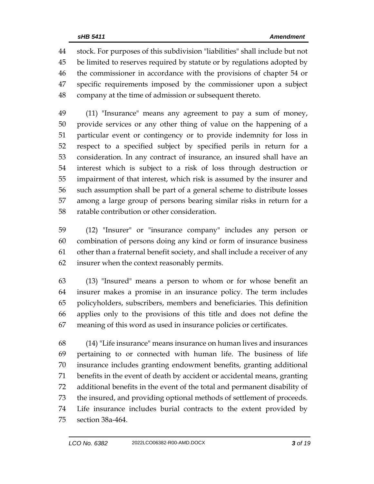stock. For purposes of this subdivision "liabilities" shall include but not be limited to reserves required by statute or by regulations adopted by the commissioner in accordance with the provisions of chapter 54 or specific requirements imposed by the commissioner upon a subject company at the time of admission or subsequent thereto.

 (11) "Insurance" means any agreement to pay a sum of money, provide services or any other thing of value on the happening of a particular event or contingency or to provide indemnity for loss in respect to a specified subject by specified perils in return for a consideration. In any contract of insurance, an insured shall have an interest which is subject to a risk of loss through destruction or impairment of that interest, which risk is assumed by the insurer and such assumption shall be part of a general scheme to distribute losses among a large group of persons bearing similar risks in return for a ratable contribution or other consideration.

 (12) "Insurer" or "insurance company" includes any person or combination of persons doing any kind or form of insurance business other than a fraternal benefit society, and shall include a receiver of any insurer when the context reasonably permits.

 (13) "Insured" means a person to whom or for whose benefit an insurer makes a promise in an insurance policy. The term includes policyholders, subscribers, members and beneficiaries. This definition applies only to the provisions of this title and does not define the meaning of this word as used in insurance policies or certificates.

 (14) "Life insurance" means insurance on human lives and insurances pertaining to or connected with human life. The business of life insurance includes granting endowment benefits, granting additional benefits in the event of death by accident or accidental means, granting additional benefits in the event of the total and permanent disability of the insured, and providing optional methods of settlement of proceeds. Life insurance includes burial contracts to the extent provided by section 38a-464.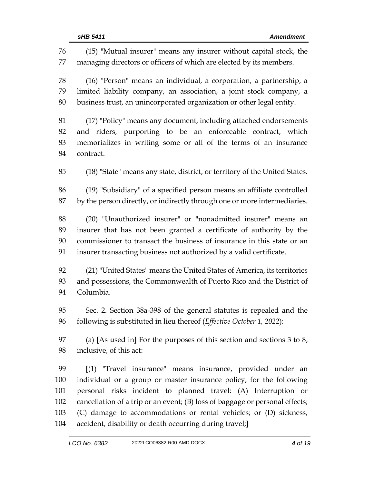| 76<br>77 | (15) "Mutual insurer" means any insurer without capital stock, the<br>managing directors or officers of which are elected by its members. |  |  |
|----------|-------------------------------------------------------------------------------------------------------------------------------------------|--|--|
| 78<br>79 | (16) "Person" means an individual, a corporation, a partnership, a<br>limited liability company, an association, a joint stock company, a |  |  |
| 80       | business trust, an unincorporated organization or other legal entity.                                                                     |  |  |
| 81       | (17) "Policy" means any document, including attached endorsements                                                                         |  |  |
| 82       | and riders, purporting to be an enforceable contract, which                                                                               |  |  |
| 83<br>84 | memorializes in writing some or all of the terms of an insurance<br>contract.                                                             |  |  |
| 85       | (18) "State" means any state, district, or territory of the United States.                                                                |  |  |
| 86       | (19) "Subsidiary" of a specified person means an affiliate controlled                                                                     |  |  |
| 87       | by the person directly, or indirectly through one or more intermediaries.                                                                 |  |  |
| 88       | (20) "Unauthorized insurer" or "nonadmitted insurer" means an                                                                             |  |  |
| 89       | insurer that has not been granted a certificate of authority by the                                                                       |  |  |
| 90       | commissioner to transact the business of insurance in this state or an                                                                    |  |  |
| 91       | insurer transacting business not authorized by a valid certificate.                                                                       |  |  |
| 92       | (21) "United States" means the United States of America, its territories                                                                  |  |  |
| 93       | and possessions, the Commonwealth of Puerto Rico and the District of                                                                      |  |  |
| 94       | Columbia.                                                                                                                                 |  |  |
| 95       | Sec. 2. Section 38a-398 of the general statutes is repealed and the                                                                       |  |  |
| 96       | following is substituted in lieu thereof (Effective October 1, 2022):                                                                     |  |  |
|          |                                                                                                                                           |  |  |
| 97       | (a) [As used in] For the purposes of this section and sections $3$ to $8$ ,                                                               |  |  |
| 98       | inclusive, of this act:                                                                                                                   |  |  |
| 99       | [(1) "Travel insurance" means insurance, provided under an                                                                                |  |  |
| 100      | individual or a group or master insurance policy, for the following                                                                       |  |  |
| 101      | personal risks incident to planned travel: (A) Interruption or                                                                            |  |  |
| 102      | cancellation of a trip or an event; (B) loss of baggage or personal effects;                                                              |  |  |
| 103      | (C) damage to accommodations or rental vehicles; or (D) sickness,                                                                         |  |  |
| 104      | accident, disability or death occurring during travel;]                                                                                   |  |  |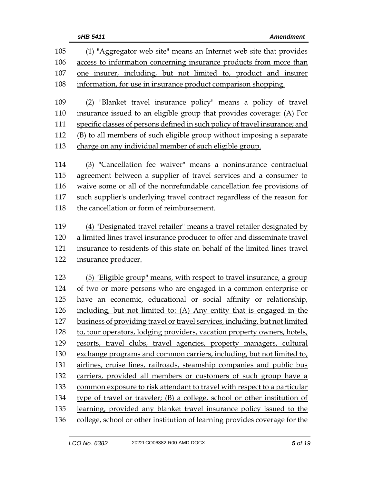| 105 | (1) "Aggregator web site" means an Internet web site that provides          |  |  |  |
|-----|-----------------------------------------------------------------------------|--|--|--|
| 106 | access to information concerning insurance products from more than          |  |  |  |
| 107 | one insurer, including, but not limited to, product and insurer             |  |  |  |
| 108 | information, for use in insurance product comparison shopping.              |  |  |  |
|     |                                                                             |  |  |  |
| 109 | (2) "Blanket travel insurance policy" means a policy of travel              |  |  |  |
| 110 | insurance issued to an eligible group that provides coverage: (A) For       |  |  |  |
| 111 | specific classes of persons defined in such policy of travel insurance; and |  |  |  |
| 112 | (B) to all members of such eligible group without imposing a separate       |  |  |  |
| 113 | charge on any individual member of such eligible group.                     |  |  |  |
| 114 | (3) "Cancellation fee waiver" means a noninsurance contractual              |  |  |  |
| 115 | agreement between a supplier of travel services and a consumer to           |  |  |  |
| 116 | waive some or all of the nonrefundable cancellation fee provisions of       |  |  |  |
| 117 | such supplier's underlying travel contract regardless of the reason for     |  |  |  |
| 118 | the cancellation or form of reimbursement.                                  |  |  |  |
| 119 | (4) "Designated travel retailer" means a travel retailer designated by      |  |  |  |
| 120 | a limited lines travel insurance producer to offer and disseminate travel   |  |  |  |
| 121 |                                                                             |  |  |  |
| 122 | insurance to residents of this state on behalf of the limited lines travel  |  |  |  |
|     | insurance producer.                                                         |  |  |  |
| 123 | (5) "Eligible group" means, with respect to travel insurance, a group       |  |  |  |
| 124 | of two or more persons who are engaged in a common enterprise or            |  |  |  |
| 125 | have an economic, educational or social affinity or relationship,           |  |  |  |
| 126 | including, but not limited to: (A) Any entity that is engaged in the        |  |  |  |
| 127 | business of providing travel or travel services, including, but not limited |  |  |  |
| 128 | to, tour operators, lodging providers, vacation property owners, hotels,    |  |  |  |
| 129 | resorts, travel clubs, travel agencies, property managers, cultural         |  |  |  |
| 130 | exchange programs and common carriers, including, but not limited to,       |  |  |  |
| 131 | airlines, cruise lines, railroads, steamship companies and public bus       |  |  |  |
| 132 | carriers, provided all members or customers of such group have a            |  |  |  |
| 133 | common exposure to risk attendant to travel with respect to a particular    |  |  |  |
| 134 | type of travel or traveler; (B) a college, school or other institution of   |  |  |  |
| 135 | learning, provided any blanket travel insurance policy issued to the        |  |  |  |
| 136 | college, school or other institution of learning provides coverage for the  |  |  |  |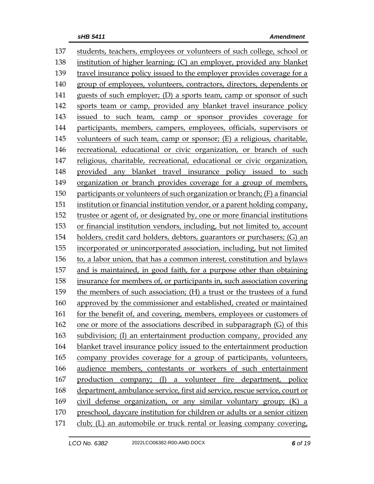students, teachers, employees or volunteers of such college, school or institution of higher learning; (C) an employer, provided any blanket travel insurance policy issued to the employer provides coverage for a group of employees, volunteers, contractors, directors, dependents or guests of such employer; (D) a sports team, camp or sponsor of such sports team or camp, provided any blanket travel insurance policy issued to such team, camp or sponsor provides coverage for participants, members, campers, employees, officials, supervisors or volunteers of such team, camp or sponsor; (E) a religious, charitable, recreational, educational or civic organization, or branch of such religious, charitable, recreational, educational or civic organization, provided any blanket travel insurance policy issued to such organization or branch provides coverage for a group of members, participants or volunteers of such organization or branch; (F) a financial institution or financial institution vendor, or a parent holding company, trustee or agent of, or designated by, one or more financial institutions or financial institution vendors, including, but not limited to, account holders, credit card holders, debtors, guarantors or purchasers; (G) an incorporated or unincorporated association, including, but not limited to, a labor union, that has a common interest, constitution and bylaws and is maintained, in good faith, for a purpose other than obtaining insurance for members of, or participants in, such association covering the members of such association; (H) a trust or the trustees of a fund approved by the commissioner and established, created or maintained for the benefit of, and covering, members, employees or customers of one or more of the associations described in subparagraph (G) of this subdivision; (I) an entertainment production company, provided any blanket travel insurance policy issued to the entertainment production company provides coverage for a group of participants, volunteers, audience members, contestants or workers of such entertainment production company; (J) a volunteer fire department, police department, ambulance service, first aid service, rescue service, court or civil defense organization, or any similar voluntary group; (K) a preschool, daycare institution for children or adults or a senior citizen club; (L) an automobile or truck rental or leasing company covering,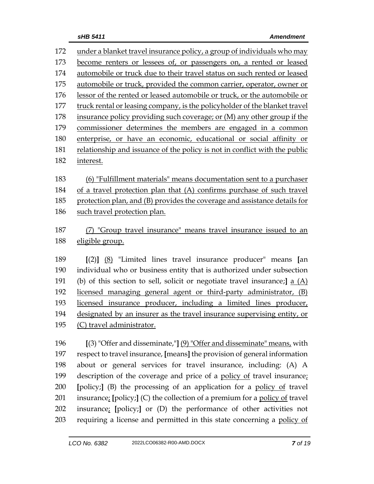under a blanket travel insurance policy, a group of individuals who may become renters or lessees of, or passengers on, a rented or leased automobile or truck due to their travel status on such rented or leased automobile or truck, provided the common carrier, operator, owner or lessor of the rented or leased automobile or truck, or the automobile or truck rental or leasing company, is the policyholder of the blanket travel insurance policy providing such coverage; or (M) any other group if the commissioner determines the members are engaged in a common enterprise, or have an economic, educational or social affinity or relationship and issuance of the policy is not in conflict with the public interest. (6) "Fulfillment materials" means documentation sent to a purchaser of a travel protection plan that (A) confirms purchase of such travel protection plan, and (B) provides the coverage and assistance details for such travel protection plan. (7) "Group travel insurance" means travel insurance issued to an eligible group. **[**(2)**]** (8) "Limited lines travel insurance producer" means **[**an individual who or business entity that is authorized under subsection (b) of this section to sell, solicit or negotiate travel insurance;**]** a (A) licensed managing general agent or third-party administrator, (B) licensed insurance producer, including a limited lines producer, designated by an insurer as the travel insurance supervising entity, or (C) travel administrator. **[**(3) "Offer and disseminate,"**]** (9) "Offer and disseminate" means, with respect to travel insurance, **[**means**]** the provision of general information about or general services for travel insurance, including: (A) A 199 description of the coverage and price of a <u>policy of</u> travel insurance; **[**policy;**]** (B) the processing of an application for a policy of travel insurance; **[**policy;**]** (C) the collection of a premium for a policy of travel

 insurance; **[**policy;**]** or (D) the performance of other activities not requiring a license and permitted in this state concerning a policy of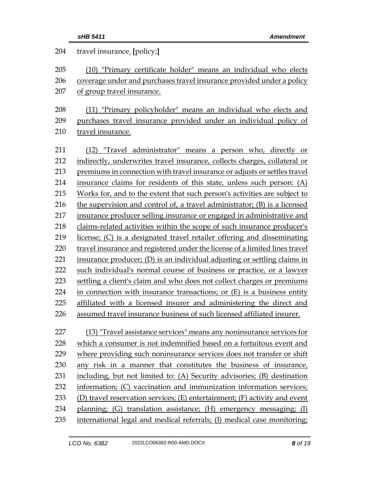| 204 | travel insurance. [policy;]                                                 |  |  |
|-----|-----------------------------------------------------------------------------|--|--|
| 205 | (10) "Primary certificate holder" means an individual who elects            |  |  |
| 206 | coverage under and purchases travel insurance provided under a policy       |  |  |
| 207 | of group travel insurance.                                                  |  |  |
| 208 | (11) "Primary policyholder" means an individual who elects and              |  |  |
| 209 | purchases travel insurance provided under an individual policy of           |  |  |
| 210 | travel insurance.                                                           |  |  |
| 211 | (12) "Travel administrator" means a person who, directly or                 |  |  |
| 212 | indirectly, underwrites travel insurance, collects charges, collateral or   |  |  |
| 213 | premiums in connection with travel insurance or adjusts or settles travel   |  |  |
| 214 | insurance claims for residents of this state, unless such person: (A)       |  |  |
| 215 | Works for, and to the extent that such person's activities are subject to   |  |  |
| 216 | the supervision and control of, a travel administrator; (B) is a licensed   |  |  |
| 217 | insurance producer selling insurance or engaged in administrative and       |  |  |
| 218 | claims-related activities within the scope of such insurance producer's     |  |  |
| 219 | license; (C) is a designated travel retailer offering and disseminating     |  |  |
| 220 | travel insurance and registered under the license of a limited lines travel |  |  |
| 221 | insurance producer; (D) is an individual adjusting or settling claims in    |  |  |
| 222 | such individual's normal course of business or practice, or a lawyer        |  |  |
| 223 | settling a client's claim and who does not collect charges or premiums      |  |  |
| 224 | in connection with insurance transactions; or $(E)$ is a business entity    |  |  |
| 225 | affiliated with a licensed insurer and administering the direct and         |  |  |
| 226 | assumed travel insurance business of such licensed affiliated insurer.      |  |  |
| 227 | (13) "Travel assistance services" means any noninsurance services for       |  |  |
| 228 | which a consumer is not indemnified based on a fortuitous event and         |  |  |
| 229 | where providing such noninsurance services does not transfer or shift       |  |  |
| 230 | any risk in a manner that constitutes the business of insurance,            |  |  |
| 231 | including, but not limited to: (A) Security advisories; (B) destination     |  |  |
| 232 | information; (C) vaccination and immunization information services;         |  |  |
| 233 | (D) travel reservation services; (E) entertainment; (F) activity and event  |  |  |
| 234 | planning; (G) translation assistance; (H) emergency messaging; (I)          |  |  |
| 235 | international legal and medical referrals; (J) medical case monitoring;     |  |  |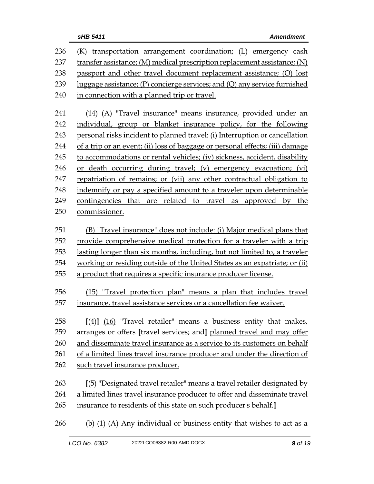| 236 | (K) transportation arrangement coordination; (L) emergency cash               |  |  |  |
|-----|-------------------------------------------------------------------------------|--|--|--|
| 237 | transfer assistance; (M) medical prescription replacement assistance; (N)     |  |  |  |
| 238 | passport and other travel document replacement assistance; (O) lost           |  |  |  |
| 239 | luggage assistance; $(P)$ concierge services; and $(Q)$ any service furnished |  |  |  |
| 240 | in connection with a planned trip or travel.                                  |  |  |  |
| 241 | (14) (A) "Travel insurance" means insurance, provided under an                |  |  |  |
| 242 |                                                                               |  |  |  |
| 243 | individual, group or blanket insurance policy, for the following              |  |  |  |
| 244 | personal risks incident to planned travel: (i) Interruption or cancellation   |  |  |  |
|     | of a trip or an event; (ii) loss of baggage or personal effects; (iii) damage |  |  |  |
| 245 | to accommodations or rental vehicles; (iv) sickness, accident, disability     |  |  |  |
| 246 | or death occurring during travel; (v) emergency evacuation; (vi)              |  |  |  |
| 247 | repatriation of remains; or (vii) any other contractual obligation to         |  |  |  |
| 248 | indemnify or pay a specified amount to a traveler upon determinable           |  |  |  |
| 249 | contingencies that are related to travel as approved by the                   |  |  |  |
| 250 | commissioner.                                                                 |  |  |  |
| 251 | (B) "Travel insurance" does not include: (i) Major medical plans that         |  |  |  |
| 252 | provide comprehensive medical protection for a traveler with a trip           |  |  |  |
| 253 | lasting longer than six months, including, but not limited to, a traveler     |  |  |  |
| 254 | working or residing outside of the United States as an expatriate; or (ii)    |  |  |  |
| 255 | a product that requires a specific insurance producer license.                |  |  |  |
| 256 | (15) "Travel protection plan" means a plan that includes travel               |  |  |  |
| 257 | insurance, travel assistance services or a cancellation fee waiver.           |  |  |  |
|     |                                                                               |  |  |  |
| 258 | $[(4)]$ $(16)$ "Travel retailer" means a business entity that makes,          |  |  |  |
| 259 | arranges or offers [travel services; and] planned travel and may offer        |  |  |  |
| 260 | and disseminate travel insurance as a service to its customers on behalf      |  |  |  |
| 261 | of a limited lines travel insurance producer and under the direction of       |  |  |  |
| 262 | such travel insurance producer.                                               |  |  |  |
| 263 | [(5) "Designated travel retailer" means a travel retailer designated by       |  |  |  |
| 264 | a limited lines travel insurance producer to offer and disseminate travel     |  |  |  |
| 265 | insurance to residents of this state on such producer's behalf.]              |  |  |  |
| 266 | (b) (1) (A) Any individual or business entity that wishes to act as a         |  |  |  |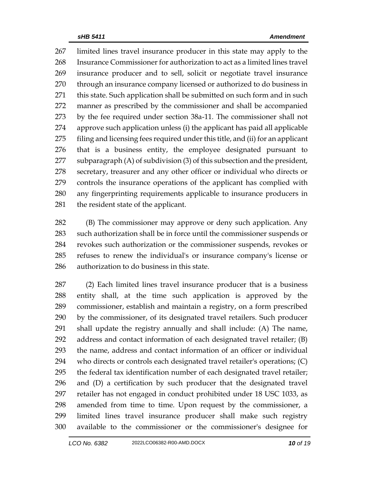limited lines travel insurance producer in this state may apply to the Insurance Commissioner for authorization to act as a limited lines travel insurance producer and to sell, solicit or negotiate travel insurance 270 through an insurance company licensed or authorized to do business in 271 this state. Such application shall be submitted on such form and in such manner as prescribed by the commissioner and shall be accompanied by the fee required under section 38a-11. The commissioner shall not approve such application unless (i) the applicant has paid all applicable filing and licensing fees required under this title, and (ii) for an applicant that is a business entity, the employee designated pursuant to subparagraph (A) of subdivision (3) of this subsection and the president, secretary, treasurer and any other officer or individual who directs or controls the insurance operations of the applicant has complied with any fingerprinting requirements applicable to insurance producers in the resident state of the applicant.

 (B) The commissioner may approve or deny such application. Any such authorization shall be in force until the commissioner suspends or revokes such authorization or the commissioner suspends, revokes or refuses to renew the individual's or insurance company's license or authorization to do business in this state.

 (2) Each limited lines travel insurance producer that is a business entity shall, at the time such application is approved by the commissioner, establish and maintain a registry, on a form prescribed by the commissioner, of its designated travel retailers. Such producer shall update the registry annually and shall include: (A) The name, address and contact information of each designated travel retailer; (B) the name, address and contact information of an officer or individual who directs or controls each designated travel retailer's operations; (C) the federal tax identification number of each designated travel retailer; and (D) a certification by such producer that the designated travel retailer has not engaged in conduct prohibited under 18 USC 1033, as amended from time to time. Upon request by the commissioner, a limited lines travel insurance producer shall make such registry available to the commissioner or the commissioner's designee for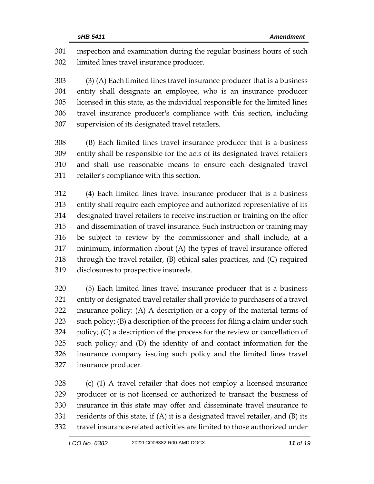inspection and examination during the regular business hours of such limited lines travel insurance producer.

 (3) (A) Each limited lines travel insurance producer that is a business entity shall designate an employee, who is an insurance producer licensed in this state, as the individual responsible for the limited lines travel insurance producer's compliance with this section, including supervision of its designated travel retailers.

 (B) Each limited lines travel insurance producer that is a business entity shall be responsible for the acts of its designated travel retailers and shall use reasonable means to ensure each designated travel retailer's compliance with this section.

 (4) Each limited lines travel insurance producer that is a business entity shall require each employee and authorized representative of its designated travel retailers to receive instruction or training on the offer and dissemination of travel insurance. Such instruction or training may be subject to review by the commissioner and shall include, at a minimum, information about (A) the types of travel insurance offered through the travel retailer, (B) ethical sales practices, and (C) required disclosures to prospective insureds.

 (5) Each limited lines travel insurance producer that is a business entity or designated travel retailer shall provide to purchasers of a travel insurance policy: (A) A description or a copy of the material terms of such policy; (B) a description of the process for filing a claim under such policy; (C) a description of the process for the review or cancellation of such policy; and (D) the identity of and contact information for the insurance company issuing such policy and the limited lines travel insurance producer.

 (c) (1) A travel retailer that does not employ a licensed insurance producer or is not licensed or authorized to transact the business of insurance in this state may offer and disseminate travel insurance to residents of this state, if (A) it is a designated travel retailer, and (B) its travel insurance-related activities are limited to those authorized under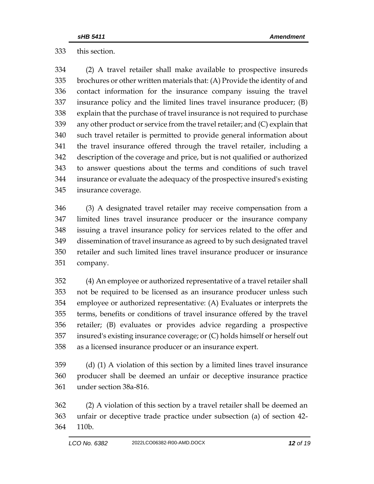this section.

 (2) A travel retailer shall make available to prospective insureds brochures or other written materials that: (A) Provide the identity of and contact information for the insurance company issuing the travel insurance policy and the limited lines travel insurance producer; (B) explain that the purchase of travel insurance is not required to purchase any other product or service from the travel retailer; and (C) explain that such travel retailer is permitted to provide general information about the travel insurance offered through the travel retailer, including a description of the coverage and price, but is not qualified or authorized to answer questions about the terms and conditions of such travel insurance or evaluate the adequacy of the prospective insured's existing insurance coverage.

 (3) A designated travel retailer may receive compensation from a limited lines travel insurance producer or the insurance company issuing a travel insurance policy for services related to the offer and dissemination of travel insurance as agreed to by such designated travel retailer and such limited lines travel insurance producer or insurance company.

 (4) An employee or authorized representative of a travel retailer shall not be required to be licensed as an insurance producer unless such employee or authorized representative: (A) Evaluates or interprets the terms, benefits or conditions of travel insurance offered by the travel retailer; (B) evaluates or provides advice regarding a prospective insured's existing insurance coverage; or (C) holds himself or herself out as a licensed insurance producer or an insurance expert.

 (d) (1) A violation of this section by a limited lines travel insurance producer shall be deemed an unfair or deceptive insurance practice under section 38a-816.

 (2) A violation of this section by a travel retailer shall be deemed an unfair or deceptive trade practice under subsection (a) of section 42- 110b.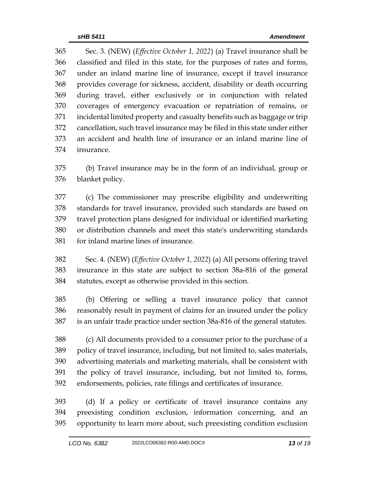Sec. 3. (NEW) (*Effective October 1, 2022*) (a) Travel insurance shall be classified and filed in this state, for the purposes of rates and forms, under an inland marine line of insurance, except if travel insurance provides coverage for sickness, accident, disability or death occurring during travel, either exclusively or in conjunction with related coverages of emergency evacuation or repatriation of remains, or incidental limited property and casualty benefits such as baggage or trip cancellation, such travel insurance may be filed in this state under either an accident and health line of insurance or an inland marine line of insurance.

 (b) Travel insurance may be in the form of an individual, group or blanket policy.

 (c) The commissioner may prescribe eligibility and underwriting standards for travel insurance, provided such standards are based on travel protection plans designed for individual or identified marketing or distribution channels and meet this state's underwriting standards for inland marine lines of insurance.

 Sec. 4. (NEW) (*Effective October 1, 2022*) (a) All persons offering travel insurance in this state are subject to section 38a-816 of the general statutes, except as otherwise provided in this section.

 (b) Offering or selling a travel insurance policy that cannot reasonably result in payment of claims for an insured under the policy is an unfair trade practice under section 38a-816 of the general statutes.

 (c) All documents provided to a consumer prior to the purchase of a policy of travel insurance, including, but not limited to, sales materials, advertising materials and marketing materials, shall be consistent with the policy of travel insurance, including, but not limited to, forms, endorsements, policies, rate filings and certificates of insurance.

 (d) If a policy or certificate of travel insurance contains any preexisting condition exclusion, information concerning, and an opportunity to learn more about, such preexisting condition exclusion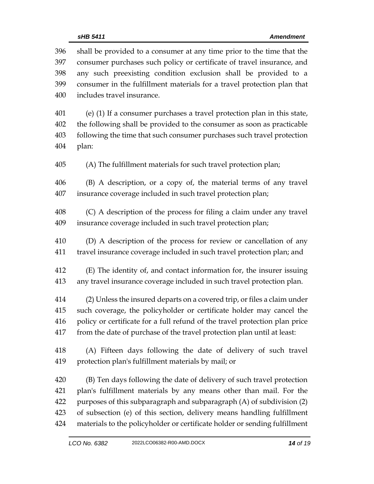shall be provided to a consumer at any time prior to the time that the consumer purchases such policy or certificate of travel insurance, and any such preexisting condition exclusion shall be provided to a consumer in the fulfillment materials for a travel protection plan that includes travel insurance. (e) (1) If a consumer purchases a travel protection plan in this state, the following shall be provided to the consumer as soon as practicable following the time that such consumer purchases such travel protection plan: (A) The fulfillment materials for such travel protection plan; (B) A description, or a copy of, the material terms of any travel insurance coverage included in such travel protection plan; (C) A description of the process for filing a claim under any travel insurance coverage included in such travel protection plan; (D) A description of the process for review or cancellation of any travel insurance coverage included in such travel protection plan; and (E) The identity of, and contact information for, the insurer issuing any travel insurance coverage included in such travel protection plan. (2) Unless the insured departs on a covered trip, or files a claim under such coverage, the policyholder or certificate holder may cancel the policy or certificate for a full refund of the travel protection plan price from the date of purchase of the travel protection plan until at least: (A) Fifteen days following the date of delivery of such travel protection plan's fulfillment materials by mail; or (B) Ten days following the date of delivery of such travel protection plan's fulfillment materials by any means other than mail. For the purposes of this subparagraph and subparagraph (A) of subdivision (2) of subsection (e) of this section, delivery means handling fulfillment materials to the policyholder or certificate holder or sending fulfillment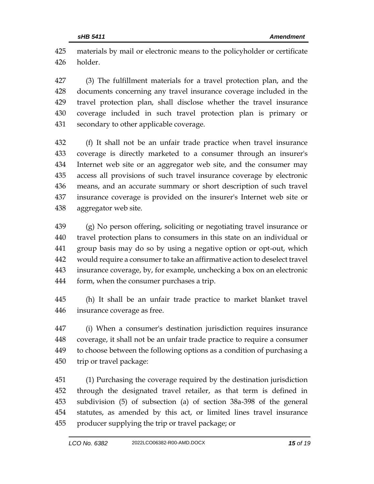materials by mail or electronic means to the policyholder or certificate holder.

 (3) The fulfillment materials for a travel protection plan, and the documents concerning any travel insurance coverage included in the travel protection plan, shall disclose whether the travel insurance coverage included in such travel protection plan is primary or secondary to other applicable coverage.

 (f) It shall not be an unfair trade practice when travel insurance coverage is directly marketed to a consumer through an insurer's Internet web site or an aggregator web site, and the consumer may access all provisions of such travel insurance coverage by electronic means, and an accurate summary or short description of such travel insurance coverage is provided on the insurer's Internet web site or aggregator web site.

 (g) No person offering, soliciting or negotiating travel insurance or travel protection plans to consumers in this state on an individual or group basis may do so by using a negative option or opt-out, which would require a consumer to take an affirmative action to deselect travel insurance coverage, by, for example, unchecking a box on an electronic form, when the consumer purchases a trip.

 (h) It shall be an unfair trade practice to market blanket travel insurance coverage as free.

 (i) When a consumer's destination jurisdiction requires insurance coverage, it shall not be an unfair trade practice to require a consumer to choose between the following options as a condition of purchasing a trip or travel package:

 (1) Purchasing the coverage required by the destination jurisdiction through the designated travel retailer, as that term is defined in subdivision (5) of subsection (a) of section 38a-398 of the general statutes, as amended by this act, or limited lines travel insurance producer supplying the trip or travel package; or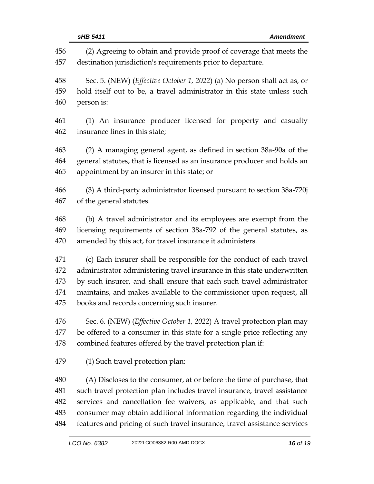(2) Agreeing to obtain and provide proof of coverage that meets the destination jurisdiction's requirements prior to departure. Sec. 5. (NEW) (*Effective October 1, 2022*) (a) No person shall act as, or hold itself out to be, a travel administrator in this state unless such person is: (1) An insurance producer licensed for property and casualty insurance lines in this state; (2) A managing general agent, as defined in section 38a-90a of the general statutes, that is licensed as an insurance producer and holds an appointment by an insurer in this state; or (3) A third-party administrator licensed pursuant to section 38a-720j of the general statutes. (b) A travel administrator and its employees are exempt from the licensing requirements of section 38a-792 of the general statutes, as amended by this act, for travel insurance it administers. (c) Each insurer shall be responsible for the conduct of each travel administrator administering travel insurance in this state underwritten by such insurer, and shall ensure that each such travel administrator maintains, and makes available to the commissioner upon request, all books and records concerning such insurer. Sec. 6. (NEW) (*Effective October 1, 2022*) A travel protection plan may be offered to a consumer in this state for a single price reflecting any combined features offered by the travel protection plan if: (1) Such travel protection plan: (A) Discloses to the consumer, at or before the time of purchase, that such travel protection plan includes travel insurance, travel assistance services and cancellation fee waivers, as applicable, and that such consumer may obtain additional information regarding the individual features and pricing of such travel insurance, travel assistance services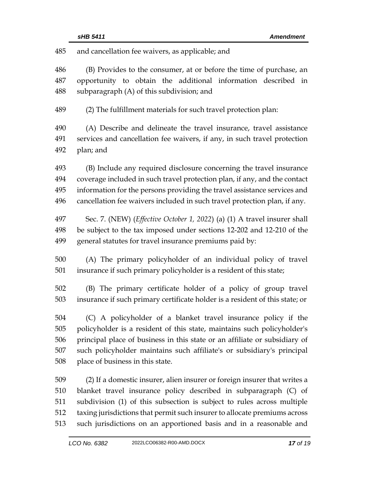and cancellation fee waivers, as applicable; and

 (B) Provides to the consumer, at or before the time of purchase, an opportunity to obtain the additional information described in subparagraph (A) of this subdivision; and

(2) The fulfillment materials for such travel protection plan:

 (A) Describe and delineate the travel insurance, travel assistance services and cancellation fee waivers, if any, in such travel protection plan; and

 (B) Include any required disclosure concerning the travel insurance coverage included in such travel protection plan, if any, and the contact information for the persons providing the travel assistance services and cancellation fee waivers included in such travel protection plan, if any.

 Sec. 7. (NEW) (*Effective October 1, 2022*) (a) (1) A travel insurer shall be subject to the tax imposed under sections 12-202 and 12-210 of the general statutes for travel insurance premiums paid by:

 (A) The primary policyholder of an individual policy of travel insurance if such primary policyholder is a resident of this state;

 (B) The primary certificate holder of a policy of group travel insurance if such primary certificate holder is a resident of this state; or

 (C) A policyholder of a blanket travel insurance policy if the policyholder is a resident of this state, maintains such policyholder's principal place of business in this state or an affiliate or subsidiary of such policyholder maintains such affiliate's or subsidiary's principal place of business in this state.

 (2) If a domestic insurer, alien insurer or foreign insurer that writes a blanket travel insurance policy described in subparagraph (C) of subdivision (1) of this subsection is subject to rules across multiple taxing jurisdictions that permit such insurer to allocate premiums across such jurisdictions on an apportioned basis and in a reasonable and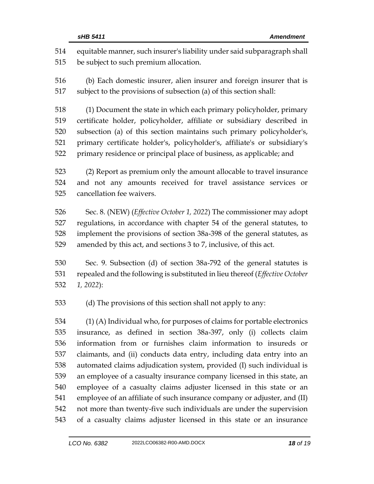| 514 | equitable manner, such insurer's liability under said subparagraph shall     |  |  |
|-----|------------------------------------------------------------------------------|--|--|
| 515 | be subject to such premium allocation.                                       |  |  |
| 516 | (b) Each domestic insurer, alien insurer and foreign insurer that is         |  |  |
| 517 | subject to the provisions of subsection (a) of this section shall:           |  |  |
| 518 | (1) Document the state in which each primary policyholder, primary           |  |  |
| 519 | certificate holder, policyholder, affiliate or subsidiary described in       |  |  |
| 520 | subsection (a) of this section maintains such primary policyholder's,        |  |  |
| 521 | primary certificate holder's, policyholder's, affiliate's or subsidiary's    |  |  |
| 522 | primary residence or principal place of business, as applicable; and         |  |  |
| 523 | (2) Report as premium only the amount allocable to travel insurance          |  |  |
| 524 | and not any amounts received for travel assistance services or               |  |  |
| 525 | cancellation fee waivers.                                                    |  |  |
| 526 | Sec. 8. (NEW) (Effective October 1, 2022) The commissioner may adopt         |  |  |
| 527 | regulations, in accordance with chapter 54 of the general statutes, to       |  |  |
| 528 | implement the provisions of section 38a-398 of the general statutes, as      |  |  |
| 529 | amended by this act, and sections 3 to 7, inclusive, of this act.            |  |  |
| 530 | Sec. 9. Subsection (d) of section 38a-792 of the general statutes is         |  |  |
| 531 | repealed and the following is substituted in lieu thereof (Effective October |  |  |
| 532 | $1, 2022$ :                                                                  |  |  |
| 533 | (d) The provisions of this section shall not apply to any:                   |  |  |
| 534 | (1) (A) Individual who, for purposes of claims for portable electronics      |  |  |
| 535 | insurance, as defined in section 38a-397, only (i) collects claim            |  |  |
| 536 | information from or furnishes claim information to insureds or               |  |  |
| 537 | claimants, and (ii) conducts data entry, including data entry into an        |  |  |
| 538 | automated claims adjudication system, provided (I) such individual is        |  |  |
| 539 | an employee of a casualty insurance company licensed in this state, an       |  |  |
| 540 | employee of a casualty claims adjuster licensed in this state or an          |  |  |
| 541 | employee of an affiliate of such insurance company or adjuster, and (II)     |  |  |
| 542 | not more than twenty-five such individuals are under the supervision         |  |  |
| 543 | of a casualty claims adjuster licensed in this state or an insurance         |  |  |